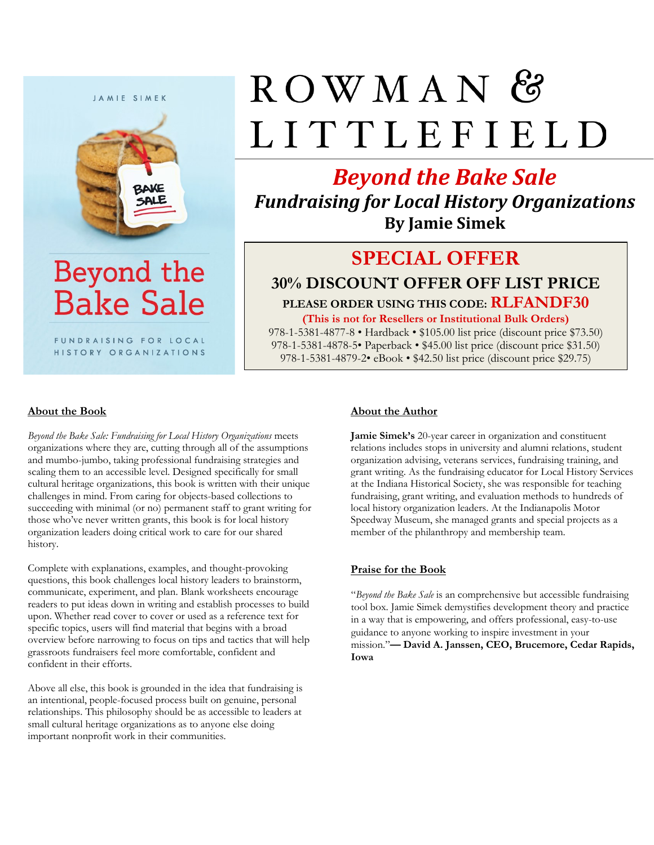

Beyond the **Bake Sale** 

FUNDRAISING FOR LOCAL HISTORY ORGANIZATIONS

# $ROWMAN$ LITTLEFIELD

# *Beyond the Bake Sale*

*Fundraising for Local History Organizations* **By Jamie Simek**

## **SPECIAL OFFER**

**30% DISCOUNT OFFER OFF LIST PRICE PLEASE ORDER USING THIS CODE: RLFANDF30 (This is not for Resellers or Institutional Bulk Orders)**

978-1-5381-4877-8 • Hardback • \$105.00 list price (discount price \$73.50) 978-1-5381-4878-5• Paperback • \$45.00 list price (discount price \$31.50) 978-1-5381-4879-2• eBook • \$42.50 list price (discount price \$29.75)

#### **About the Book**

*Beyond the Bake Sale: Fundraising for Local History Organizations* meets organizations where they are, cutting through all of the assumptions and mumbo-jumbo, taking professional fundraising strategies and scaling them to an accessible level. Designed specifically for small cultural heritage organizations, this book is written with their unique challenges in mind. From caring for objects-based collections to succeeding with minimal (or no) permanent staff to grant writing for those who've never written grants, this book is for local history organization leaders doing critical work to care for our shared history.

Complete with explanations, examples, and thought-provoking questions, this book challenges local history leaders to brainstorm, communicate, experiment, and plan. Blank worksheets encourage readers to put ideas down in writing and establish processes to build upon. Whether read cover to cover or used as a reference text for specific topics, users will find material that begins with a broad overview before narrowing to focus on tips and tactics that will help grassroots fundraisers feel more comfortable, confident and confident in their efforts.

Above all else, this book is grounded in the idea that fundraising is an intentional, people-focused process built on genuine, personal relationships. This philosophy should be as accessible to leaders at small cultural heritage organizations as to anyone else doing important nonprofit work in their communities.

#### **About the Author**

**Jamie Simek's** 20-year career in organization and constituent relations includes stops in university and alumni relations, student organization advising, veterans services, fundraising training, and grant writing. As the fundraising educator for Local History Services at the Indiana Historical Society, she was responsible for teaching fundraising, grant writing, and evaluation methods to hundreds of local history organization leaders. At the Indianapolis Motor Speedway Museum, she managed grants and special projects as a member of the philanthropy and membership team.

#### **Praise for the Book**

"*Beyond the Bake Sale* is an comprehensive but accessible fundraising tool box. Jamie Simek demystifies development theory and practice in a way that is empowering, and offers professional, easy-to-use guidance to anyone working to inspire investment in your mission."**— David A. Janssen, CEO, Brucemore, Cedar Rapids, Iowa**